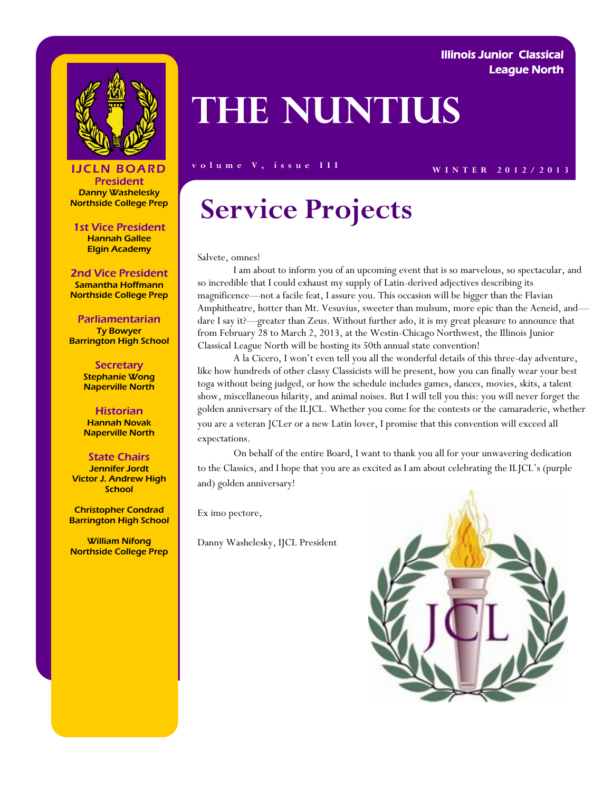

### Illinois Junior Classical League North

# **The Nuntius**

**IJCLN BOARD** volume V, issue III WINTER 2012/2013

### President Danny Washelesky Northside College Prep

1st Vice President Hannah Gallee Elgin Academy

### 2nd Vice President

Samantha Hoffmann Northside College Prep

Parliamentarian Ty Bowyer Barrington High School

> **Secretary** Stephanie Wong Naperville North

**Historian** Hannah Novak Naperville North

#### State Chairs

Jennifer Jordt Victor J. Andrew High **School** 

Christopher Condrad Barrington High School

William Nifong Northside College Prep

## **Service Projects**

Salvete, omnes!

I am about to inform you of an upcoming event that is so marvelous, so spectacular, and so incredible that I could exhaust my supply of Latin-derived adjectives describing its magnificence—not a facile feat, I assure you. This occasion will be bigger than the Flavian Amphitheatre, hotter than Mt. Vesuvius, sweeter than mulsum, more epic than the Aeneid, and dare I say it?—greater than Zeus. Without further ado, it is my great pleasure to announce that from February 28 to March 2, 2013, at the Westin-Chicago Northwest, the Illinois Junior Classical League North will be hosting its 50th annual state convention!

A la Cicero, I won't even tell you all the wonderful details of this three-day adventure, like how hundreds of other classy Classicists will be present, how you can finally wear your best toga without being judged, or how the schedule includes games, dances, movies, skits, a talent show, miscellaneous hilarity, and animal noises. But I will tell you this: you will never forget the golden anniversary of the ILJCL. Whether you come for the contests or the camaraderie, whether you are a veteran JCLer or a new Latin lover, I promise that this convention will exceed all expectations.

On behalf of the entire Board, I want to thank you all for your unwavering dedication to the Classics, and I hope that you are as excited as I am about celebrating the ILJCL's (purple and) golden anniversary!

Ex imo pectore,

Danny Washelesky, IJCL President

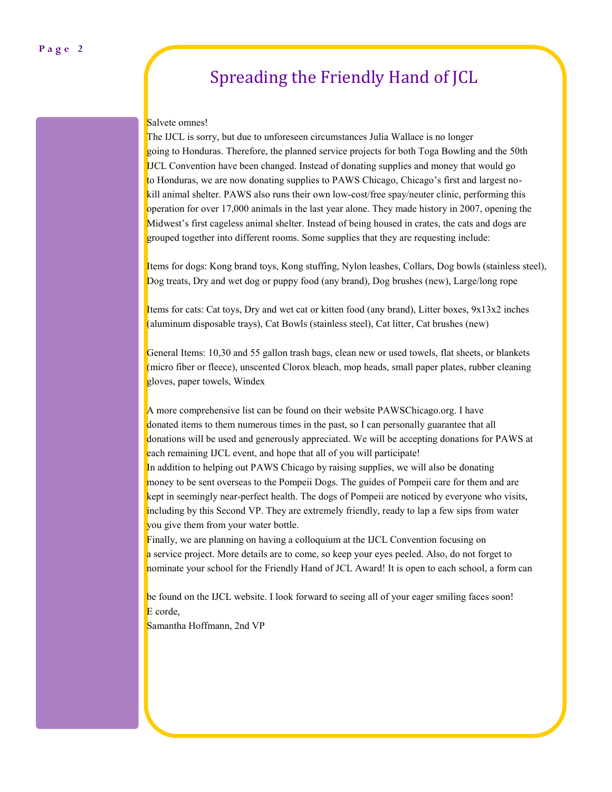## Spreading the Friendly Hand of JCL

#### Salvete omnes!

The IJCL is sorry, but due to unforeseen circumstances Julia Wallace is no longer going to Honduras. Therefore, the planned service projects for both Toga Bowling and the 50th IJCL Convention have been changed. Instead of donating supplies and money that would go to Honduras, we are now donating supplies to PAWS Chicago, Chicago's first and largest nokill animal shelter. PAWS also runs their own low-cost/free spay/neuter clinic, performing this operation for over 17,000 animals in the last year alone. They made history in 2007, opening the Midwest's first cageless animal shelter. Instead of being housed in crates, the cats and dogs are grouped together into different rooms. Some supplies that they are requesting include:

Items for dogs: Kong brand toys, Kong stuffing, Nylon leashes, Collars, Dog bowls (stainless steel), Dog treats, Dry and wet dog or puppy food (any brand), Dog brushes (new), Large/long rope

Items for cats: Cat toys, Dry and wet cat or kitten food (any brand), Litter boxes, 9x13x2 inches (aluminum disposable trays), Cat Bowls (stainless steel), Cat litter, Cat brushes (new)

General Items: 10,30 and 55 gallon trash bags, clean new or used towels, flat sheets, or blankets (micro fiber or fleece), unscented Clorox bleach, mop heads, small paper plates, rubber cleaning gloves, paper towels, Windex

A more comprehensive list can be found on their website PAWSChicago.org. I have donated items to them numerous times in the past, so I can personally guarantee that all donations will be used and generously appreciated. We will be accepting donations for PAWS at each remaining IJCL event, and hope that all of you will participate! In addition to helping out PAWS Chicago by raising supplies, we will also be donating money to be sent overseas to the Pompeii Dogs. The guides of Pompeii care for them and are kept in seemingly near-perfect health. The dogs of Pompeii are noticed by everyone who visits, including by this Second VP. They are extremely friendly, ready to lap a few sips from water you give them from your water bottle.

Finally, we are planning on having a colloquium at the IJCL Convention focusing on a service project. More details are to come, so keep your eyes peeled. Also, do not forget to nominate your school for the Friendly Hand of JCL Award! It is open to each school, a form can

be found on the IJCL website. I look forward to seeing all of your eager smiling faces soon! E corde,

Samantha Hoffmann, 2nd VP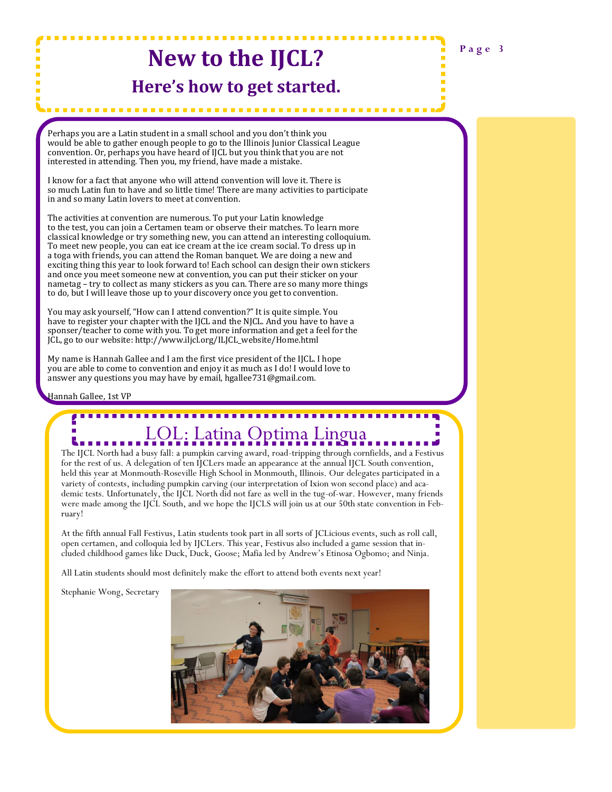## **New to the IJCL?**

### **Here's how to get started.**

. . . . . . . . . . . . . . . . . . .

Perhaps you are a Latin student in a small school and you don't think you would be able to gather enough people to go to the Illinois Junior Classical League convention. Or, perhaps you have heard of IJCL but you think that you are not interested in attending. Then you, my friend, have made a mistake.

I know for a fact that anyone who will attend convention will love it. There is so much Latin fun to have and so little time! There are many activities to participate in and so many Latin lovers to meet at convention.

The activities at convention are numerous. To put your Latin knowledge to the test, you can join a Certamen team or observe their matches. To learn more classical knowledge or try something new, you can attend an interesting colloquium. To meet new people, you can eat ice cream at the ice cream social. To dress up in a toga with friends, you can attend the Roman banquet. We are doing a new and exciting thing this year to look forward to! Each school can design their own stickers and once you meet someone new at convention, you can put their sticker on your nametag – try to collect as many stickers as you can. There are so many more things to do, but I will leave those up to your discovery once you get to convention.

You may ask yourself, "How can I attend convention?" It is quite simple. You have to register your chapter with the IJCL and the NJCL. And you have to have a sponser/teacher to come with you. To get more information and get a feel for the JCL, go to our website: http://www.iljcl.org/ILJCL\_website/Home.html

My name is Hannah Gallee and I am the first vice president of the IJCL. I hope you are able to come to convention and enjoy it as much as I do! I would love to answer any questions you may have by email, hgallee731@gmail.com.

Hannah Gallee, 1st VP

## LOL: Latina Optima Lingua

The IJCL North had a busy fall: a pumpkin carving award, road-tripping through cornfields, and a Festivus for the rest of us. A delegation of ten IJCLers made an appearance at the annual IJCL South convention, held this year at Monmouth-Roseville High School in Monmouth, Illinois. Our delegates participated in a variety of contests, including pumpkin carving (our interpretation of Ixion won second place) and academic tests. Unfortunately, the IJCL North did not fare as well in the tug-of-war. However, many friends were made among the IJCL South, and we hope the IJCLS will join us at our 50th state convention in February!

At the fifth annual Fall Festivus, Latin students took part in all sorts of JCLicious events, such as roll call, open certamen, and colloquia led by IJCLers. This year, Festivus also included a game session that included childhood games like Duck, Duck, Goose; Mafia led by Andrew's Etinosa Ogbomo; and Ninja.

All Latin students should most definitely make the effort to attend both events next year!

Stephanie Wong, Secretary